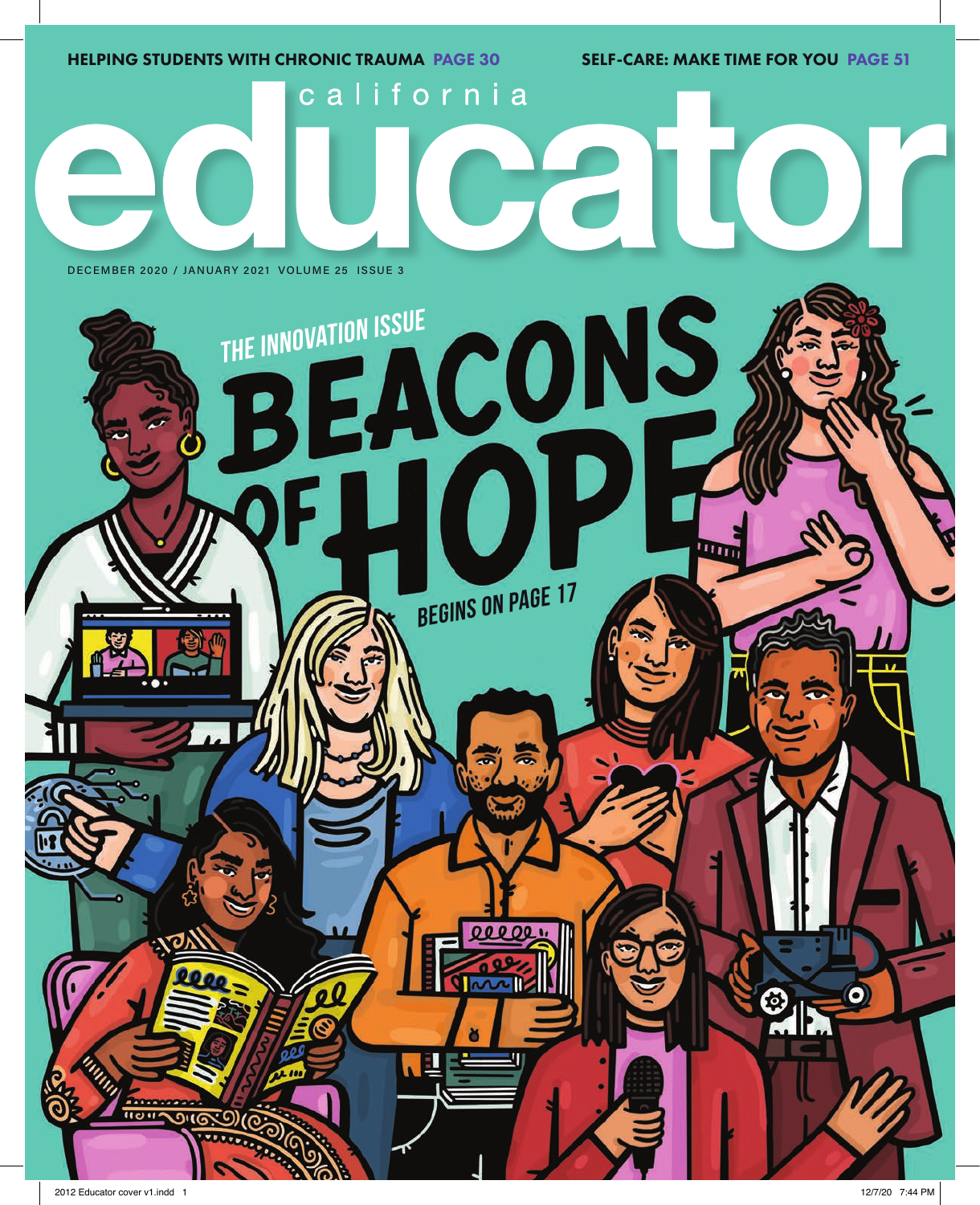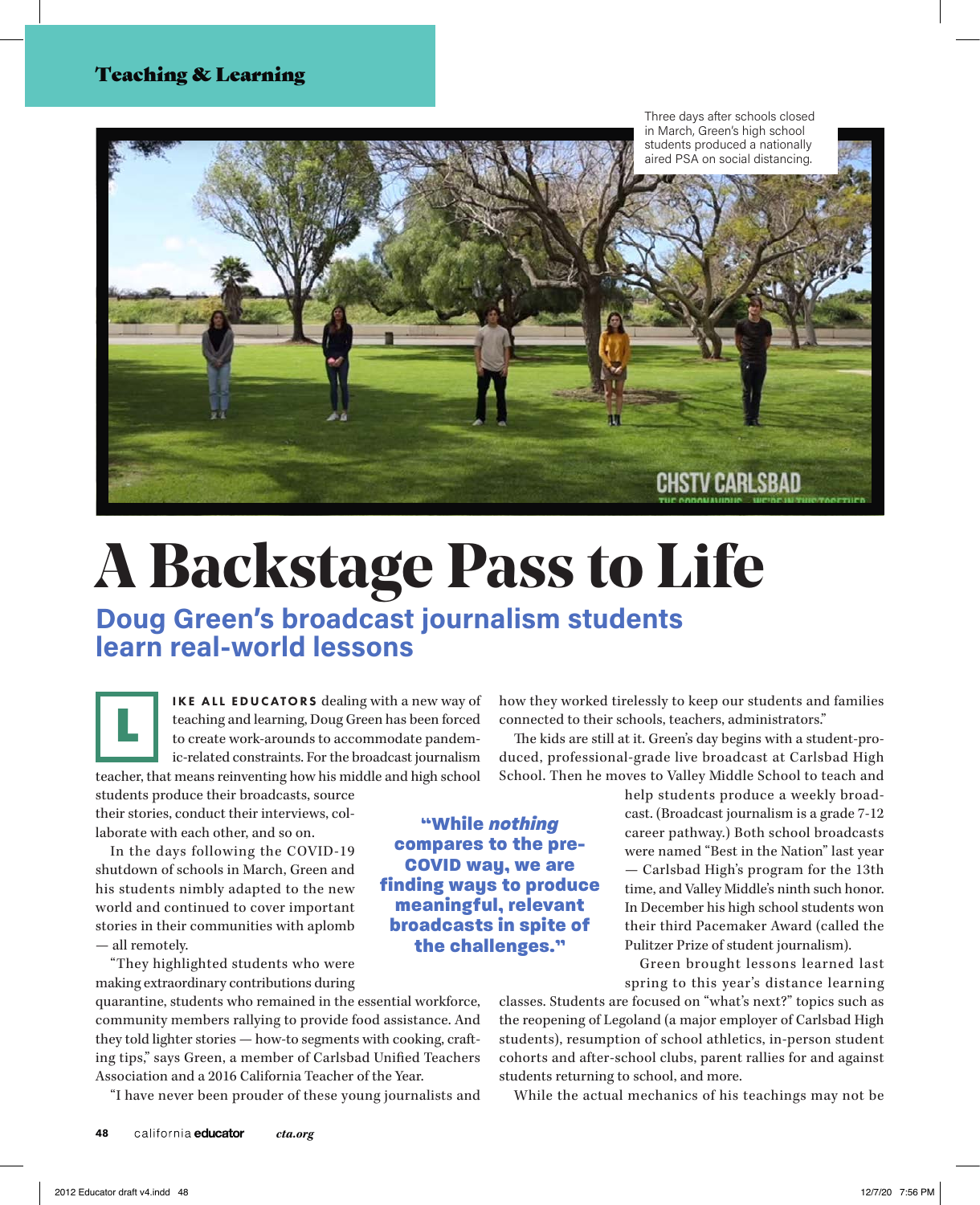#### Teaching & Learning



# **A Backstage Pass to Life**

**Doug Green's broadcast journalism students learn real-world lessons** 

IKE ALL EDUCATORS dealing with a new way of teaching and learning, Doug Green has been forced to create work-arounds to accommodate pandemic-related constraints. For the broadcast journalism teacher, that means reinventing how his middle and high school L

students produce their broadcasts, source their stories, conduct their interviews, collaborate with each other, and so on.

In the days following the COVID-19 shutdown of schools in March, Green and his students nimbly adapted to the new world and continued to cover important stories in their communities with aplomb — all remotely.

"They highlighted students who were making extraordinary contributions during

quarantine, students who remained in the essential workforce, community members rallying to provide food assistance. And they told lighter stories — how-to segments with cooking, crafting tips," says Green, a member of Carlsbad Unified Teachers Association and a 2016 California Teacher of the Year.

"I have never been prouder of these young journalists and

how they worked tirelessly to keep our students and families connected to their schools, teachers, administrators."

The kids are still at it. Green's day begins with a student-produced, professional-grade live broadcast at Carlsbad High School. Then he moves to Valley Middle School to teach and

> help students produce a weekly broadcast. (Broadcast journalism is a grade 7-12 career pathway.) Both school broadcasts were named "Best in the Nation" last year — Carlsbad High's program for the 13th time, and Valley Middle's ninth such honor. In December his high school students won their third Pacemaker Award (called the Pulitzer Prize of student journalism).

> Green brought lessons learned last spring to this year's distance learning

classes. Students are focused on "what's next?" topics such as the reopening of Legoland (a major employer of Carlsbad High students), resumption of school athletics, in-person student cohorts and after-school clubs, parent rallies for and against students returning to school, and more.

While the actual mechanics of his teachings may not be

"While *nothing* compares to the pre-COVID way, we are finding ways to produce meaningful, relevant broadcasts in spite of the challenges."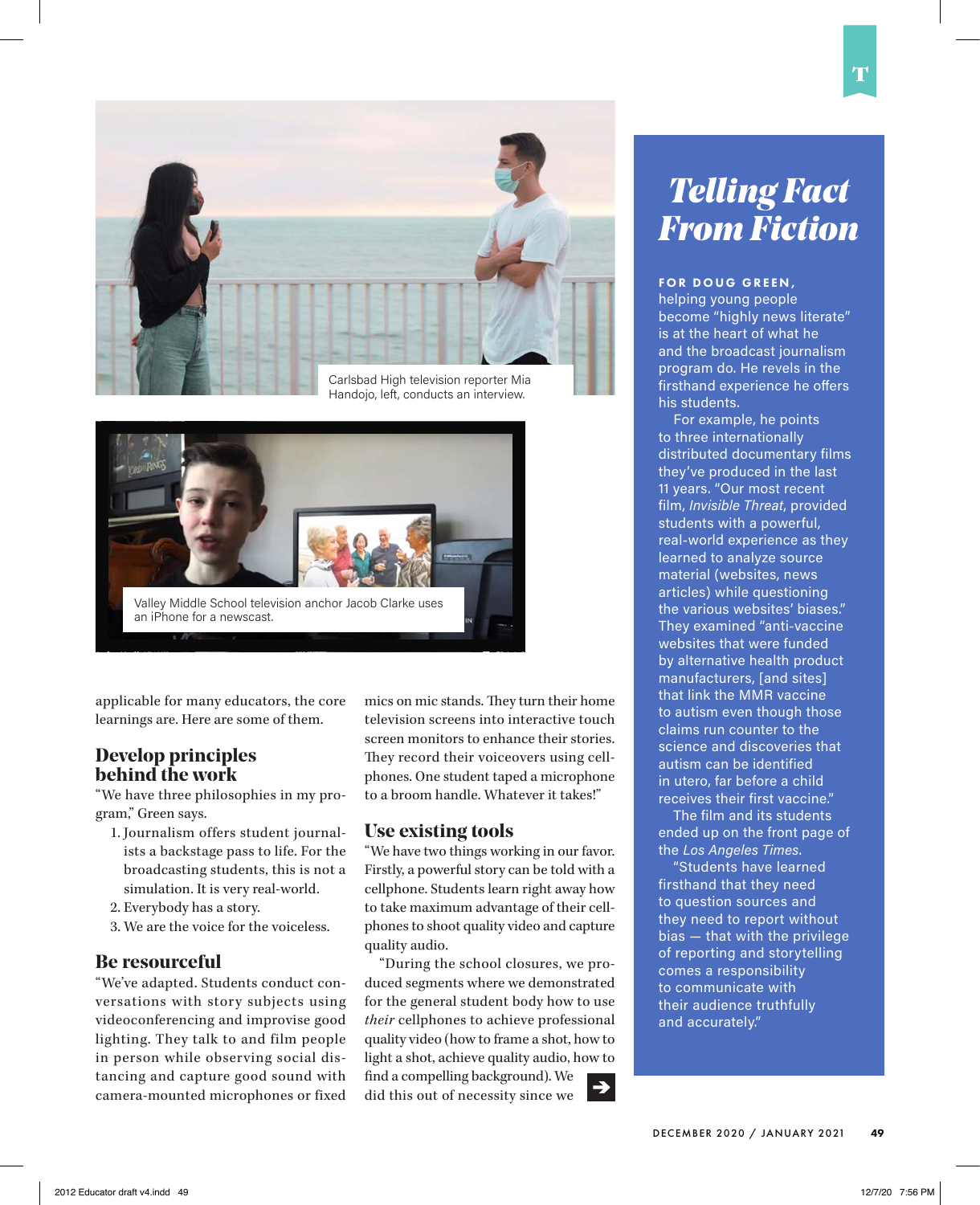

Handojo, left, conducts an interview.



applicable for many educators, the core learnings are. Here are some of them.

#### **Develop principles behind the work**

"We have three philosophies in my program," Green says.

- 1. Journalism offers student journalists a backstage pass to life. For the broadcasting students, this is not a simulation. It is very real-world.
- 2. Everybody has a story.
- 3. We are the voice for the voiceless.

#### **Be resourceful**

"We've adapted. Students conduct conversations with story subjects using videoconferencing and improvise good lighting. They talk to and film people in person while observing social distancing and capture good sound with camera-mounted microphones or fixed mics on mic stands. They turn their home television screens into interactive touch screen monitors to enhance their stories. They record their voiceovers using cellphones. One student taped a microphone to a broom handle. Whatever it takes!"

#### **Use existing tools**

"We have two things working in our favor. Firstly, a powerful story can be told with a cellphone. Students learn right away how to take maximum advantage of their cellphones to shoot quality video and capture quality audio.

"During the school closures, we produced segments where we demonstrated for the general student body how to use *their* cellphones to achieve professional quality video (how to frame a shot, how to light a shot, achieve quality audio, how to find a compelling background). We did this out of necessity since we

## *Telling Fact From Fiction*

#### FOR DOUG GREEN,

helping young people become "highly news literate" is at the heart of what he and the broadcast journalism program do. He revels in the firsthand experience he offers his students.

For example, he points to three internationally distributed documentary films they've produced in the last 11 years. "Our most recent film, *Invisible Threat*, provided students with a powerful, real-world experience as they learned to analyze source material (websites, news articles) while questioning the various websites' biases." They examined "anti-vaccine websites that were funded by alternative health product manufacturers, [and sites] that link the MMR vaccine to autism even though those claims run counter to the science and discoveries that autism can be identified in utero, far before a child receives their first vaccine."

The film and its students ended up on the front page of the *Los Angeles Times*.

"Students have learned firsthand that they need to question sources and they need to report without bias — that with the privilege of reporting and storytelling comes a responsibility to communicate with their audience truthfully and accurately."